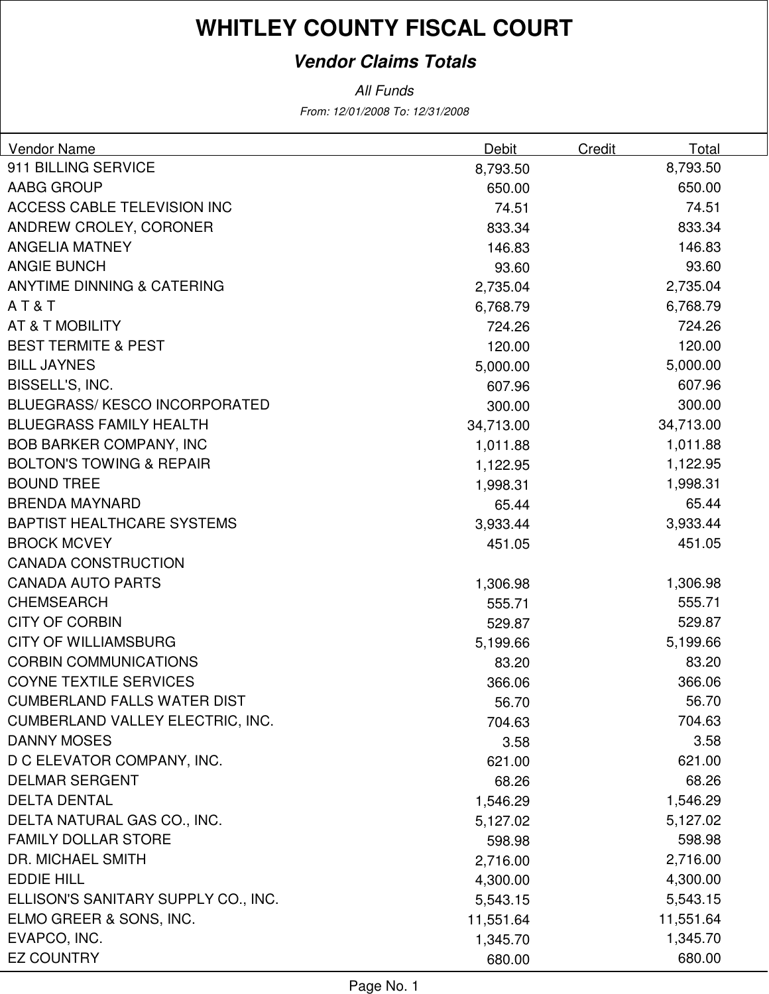### **Vendor Claims Totals**

From: 12/01/2008 To: 12/31/2008 All Funds

| Vendor Name                         | Debit     | Total<br>Credit |  |
|-------------------------------------|-----------|-----------------|--|
| 911 BILLING SERVICE                 | 8,793.50  | 8,793.50        |  |
| AABG GROUP                          | 650.00    | 650.00          |  |
| ACCESS CABLE TELEVISION INC         | 74.51     | 74.51           |  |
| ANDREW CROLEY, CORONER              | 833.34    | 833.34          |  |
| <b>ANGELIA MATNEY</b>               | 146.83    | 146.83          |  |
| <b>ANGIE BUNCH</b>                  | 93.60     | 93.60           |  |
| ANYTIME DINNING & CATERING          | 2,735.04  | 2,735.04        |  |
| AT&T                                | 6,768.79  | 6,768.79        |  |
| AT & T MOBILITY                     | 724.26    | 724.26          |  |
| <b>BEST TERMITE &amp; PEST</b>      | 120.00    | 120.00          |  |
| <b>BILL JAYNES</b>                  | 5,000.00  | 5,000.00        |  |
| BISSELL'S, INC.                     | 607.96    | 607.96          |  |
| <b>BLUEGRASS/KESCO INCORPORATED</b> | 300.00    | 300.00          |  |
| <b>BLUEGRASS FAMILY HEALTH</b>      | 34,713.00 | 34,713.00       |  |
| <b>BOB BARKER COMPANY, INC</b>      | 1,011.88  | 1,011.88        |  |
| <b>BOLTON'S TOWING &amp; REPAIR</b> | 1,122.95  | 1,122.95        |  |
| <b>BOUND TREE</b>                   | 1,998.31  | 1,998.31        |  |
| <b>BRENDA MAYNARD</b>               | 65.44     | 65.44           |  |
| <b>BAPTIST HEALTHCARE SYSTEMS</b>   | 3,933.44  | 3,933.44        |  |
| <b>BROCK MCVEY</b>                  | 451.05    | 451.05          |  |
| <b>CANADA CONSTRUCTION</b>          |           |                 |  |
| <b>CANADA AUTO PARTS</b>            | 1,306.98  | 1,306.98        |  |
| <b>CHEMSEARCH</b>                   | 555.71    | 555.71          |  |
| <b>CITY OF CORBIN</b>               | 529.87    | 529.87          |  |
| <b>CITY OF WILLIAMSBURG</b>         | 5,199.66  | 5,199.66        |  |
| <b>CORBIN COMMUNICATIONS</b>        | 83.20     | 83.20           |  |
| <b>COYNE TEXTILE SERVICES</b>       | 366.06    | 366.06          |  |
| <b>CUMBERLAND FALLS WATER DIST</b>  | 56.70     | 56.70           |  |
| CUMBERLAND VALLEY ELECTRIC, INC.    | 704.63    | 704.63          |  |
| <b>DANNY MOSES</b>                  | 3.58      | 3.58            |  |
| D C ELEVATOR COMPANY, INC.          | 621.00    | 621.00          |  |
| <b>DELMAR SERGENT</b>               | 68.26     | 68.26           |  |
| <b>DELTA DENTAL</b>                 | 1,546.29  | 1,546.29        |  |
| DELTA NATURAL GAS CO., INC.         | 5,127.02  | 5,127.02        |  |
| <b>FAMILY DOLLAR STORE</b>          | 598.98    | 598.98          |  |
| DR. MICHAEL SMITH                   | 2,716.00  | 2,716.00        |  |
| <b>EDDIE HILL</b>                   | 4,300.00  | 4,300.00        |  |
| ELLISON'S SANITARY SUPPLY CO., INC. | 5,543.15  | 5,543.15        |  |
| ELMO GREER & SONS, INC.             | 11,551.64 | 11,551.64       |  |
| EVAPCO, INC.                        | 1,345.70  | 1,345.70        |  |
| <b>EZ COUNTRY</b>                   | 680.00    | 680.00          |  |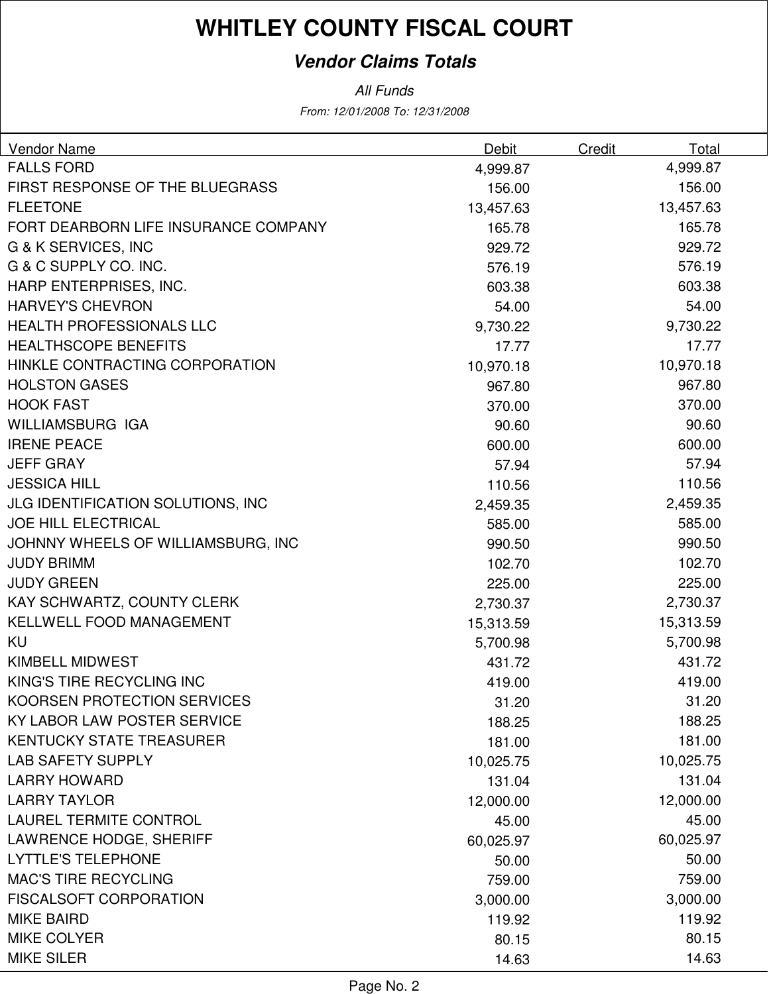### **Vendor Claims Totals**

All Funds

From: 12/01/2008 To: 12/31/2008

| <b>Vendor Name</b>                       | <b>Debit</b> | <b>Credit</b> | Total     |
|------------------------------------------|--------------|---------------|-----------|
| <b>FALLS FORD</b>                        | 4,999.87     |               | 4,999.87  |
| FIRST RESPONSE OF THE BLUEGRASS          | 156.00       |               | 156.00    |
| <b>FLEETONE</b>                          | 13,457.63    |               | 13,457.63 |
| FORT DEARBORN LIFE INSURANCE COMPANY     | 165.78       |               | 165.78    |
| G & K SERVICES, INC                      | 929.72       |               | 929.72    |
| G & C SUPPLY CO. INC.                    | 576.19       |               | 576.19    |
| HARP ENTERPRISES, INC.                   | 603.38       |               | 603.38    |
| <b>HARVEY'S CHEVRON</b>                  | 54.00        |               | 54.00     |
| <b>HEALTH PROFESSIONALS LLC</b>          | 9,730.22     |               | 9,730.22  |
| <b>HEALTHSCOPE BENEFITS</b>              | 17.77        |               | 17.77     |
| HINKLE CONTRACTING CORPORATION           | 10,970.18    |               | 10,970.18 |
| <b>HOLSTON GASES</b>                     | 967.80       |               | 967.80    |
| <b>HOOK FAST</b>                         | 370.00       |               | 370.00    |
| <b>WILLIAMSBURG IGA</b>                  | 90.60        |               | 90.60     |
| <b>IRENE PEACE</b>                       | 600.00       |               | 600.00    |
| <b>JEFF GRAY</b>                         | 57.94        |               | 57.94     |
| <b>JESSICA HILL</b>                      | 110.56       |               | 110.56    |
| <b>JLG IDENTIFICATION SOLUTIONS, INC</b> | 2,459.35     |               | 2,459.35  |
| <b>JOE HILL ELECTRICAL</b>               | 585.00       |               | 585.00    |
| JOHNNY WHEELS OF WILLIAMSBURG, INC       | 990.50       |               | 990.50    |
| <b>JUDY BRIMM</b>                        | 102.70       |               | 102.70    |
| <b>JUDY GREEN</b>                        | 225.00       |               | 225.00    |
| KAY SCHWARTZ, COUNTY CLERK               | 2,730.37     |               | 2,730.37  |
| KELLWELL FOOD MANAGEMENT                 | 15,313.59    |               | 15,313.59 |
| KU                                       | 5,700.98     |               | 5,700.98  |
| <b>KIMBELL MIDWEST</b>                   | 431.72       |               | 431.72    |
| KING'S TIRE RECYCLING INC                | 419.00       |               | 419.00    |
| KOORSEN PROTECTION SERVICES              | 31.20        |               | 31.20     |
| KY LABOR LAW POSTER SERVICE              | 188.25       |               | 188.25    |
| <b>KENTUCKY STATE TREASURER</b>          | 181.00       |               | 181.00    |
| <b>LAB SAFETY SUPPLY</b>                 | 10,025.75    |               | 10,025.75 |
| <b>LARRY HOWARD</b>                      | 131.04       |               | 131.04    |
| <b>LARRY TAYLOR</b>                      | 12,000.00    |               | 12,000.00 |
| <b>LAUREL TERMITE CONTROL</b>            | 45.00        |               | 45.00     |
| LAWRENCE HODGE, SHERIFF                  | 60,025.97    |               | 60,025.97 |
| <b>LYTTLE'S TELEPHONE</b>                | 50.00        |               | 50.00     |
| <b>MAC'S TIRE RECYCLING</b>              | 759.00       |               | 759.00    |
| <b>FISCALSOFT CORPORATION</b>            | 3,000.00     |               | 3,000.00  |
| <b>MIKE BAIRD</b>                        | 119.92       |               | 119.92    |
| <b>MIKE COLYER</b>                       | 80.15        |               | 80.15     |
| <b>MIKE SILER</b>                        | 14.63        |               | 14.63     |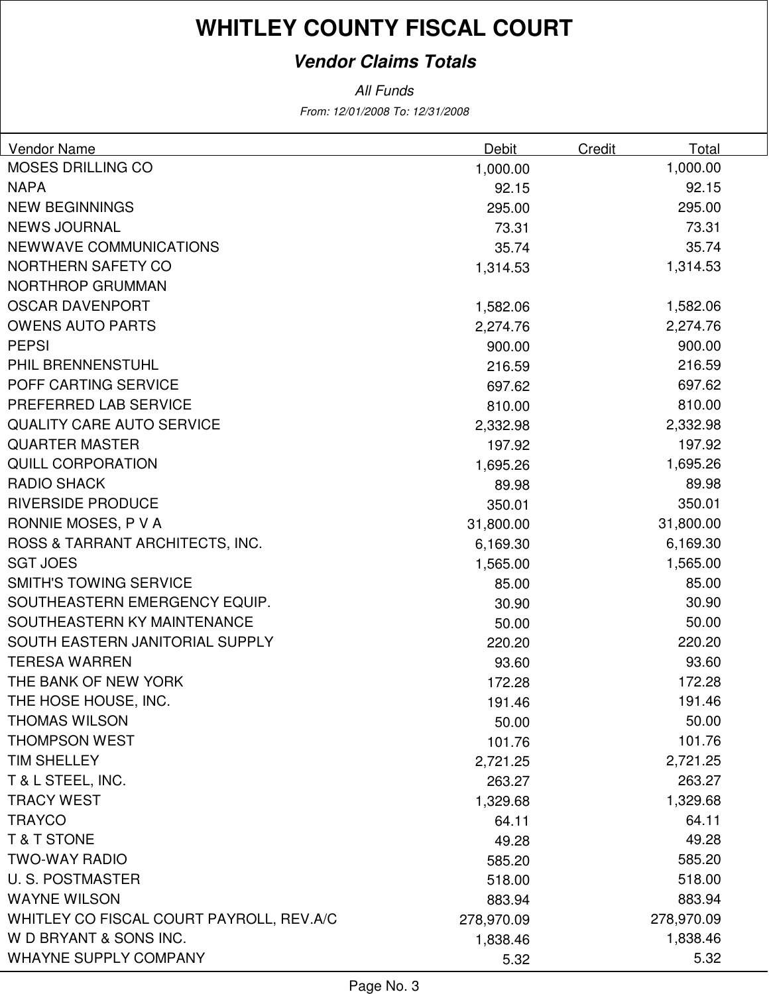### **Vendor Claims Totals**

From: 12/01/2008 To: 12/31/2008 All Funds

| Vendor Name                              | Debit      | Credit | Total      |
|------------------------------------------|------------|--------|------------|
| <b>MOSES DRILLING CO</b>                 | 1,000.00   |        | 1,000.00   |
| <b>NAPA</b>                              | 92.15      |        | 92.15      |
| <b>NEW BEGINNINGS</b>                    | 295.00     |        | 295.00     |
| <b>NEWS JOURNAL</b>                      | 73.31      |        | 73.31      |
| NEWWAVE COMMUNICATIONS                   | 35.74      |        | 35.74      |
| NORTHERN SAFETY CO                       | 1,314.53   |        | 1,314.53   |
| NORTHROP GRUMMAN                         |            |        |            |
| <b>OSCAR DAVENPORT</b>                   | 1,582.06   |        | 1,582.06   |
| <b>OWENS AUTO PARTS</b>                  | 2,274.76   |        | 2,274.76   |
| <b>PEPSI</b>                             | 900.00     |        | 900.00     |
| PHIL BRENNENSTUHL                        | 216.59     |        | 216.59     |
| POFF CARTING SERVICE                     | 697.62     |        | 697.62     |
| PREFERRED LAB SERVICE                    | 810.00     |        | 810.00     |
| <b>QUALITY CARE AUTO SERVICE</b>         | 2,332.98   |        | 2,332.98   |
| <b>QUARTER MASTER</b>                    | 197.92     |        | 197.92     |
| <b>QUILL CORPORATION</b>                 | 1,695.26   |        | 1,695.26   |
| <b>RADIO SHACK</b>                       | 89.98      |        | 89.98      |
| <b>RIVERSIDE PRODUCE</b>                 | 350.01     |        | 350.01     |
| RONNIE MOSES, P V A                      | 31,800.00  |        | 31,800.00  |
| ROSS & TARRANT ARCHITECTS, INC.          | 6,169.30   |        | 6,169.30   |
| <b>SGT JOES</b>                          | 1,565.00   |        | 1,565.00   |
| <b>SMITH'S TOWING SERVICE</b>            | 85.00      |        | 85.00      |
| SOUTHEASTERN EMERGENCY EQUIP.            | 30.90      |        | 30.90      |
| SOUTHEASTERN KY MAINTENANCE              | 50.00      |        | 50.00      |
| SOUTH EASTERN JANITORIAL SUPPLY          | 220.20     |        | 220.20     |
| <b>TERESA WARREN</b>                     | 93.60      |        | 93.60      |
| THE BANK OF NEW YORK                     | 172.28     |        | 172.28     |
| THE HOSE HOUSE, INC.                     | 191.46     |        | 191.46     |
| <b>THOMAS WILSON</b>                     | 50.00      |        | 50.00      |
| <b>THOMPSON WEST</b>                     | 101.76     |        | 101.76     |
| <b>TIM SHELLEY</b>                       | 2,721.25   |        | 2,721.25   |
| T & L STEEL, INC.                        | 263.27     |        | 263.27     |
| <b>TRACY WEST</b>                        | 1,329.68   |        | 1,329.68   |
| <b>TRAYCO</b>                            | 64.11      |        | 64.11      |
| <b>T&amp;T STONE</b>                     | 49.28      |        | 49.28      |
| <b>TWO-WAY RADIO</b>                     | 585.20     |        | 585.20     |
| <b>U.S. POSTMASTER</b>                   | 518.00     |        | 518.00     |
| <b>WAYNE WILSON</b>                      | 883.94     |        | 883.94     |
| WHITLEY CO FISCAL COURT PAYROLL, REV.A/C | 278,970.09 |        | 278,970.09 |
| W D BRYANT & SONS INC.                   | 1,838.46   |        | 1,838.46   |
| <b>WHAYNE SUPPLY COMPANY</b>             | 5.32       |        | 5.32       |